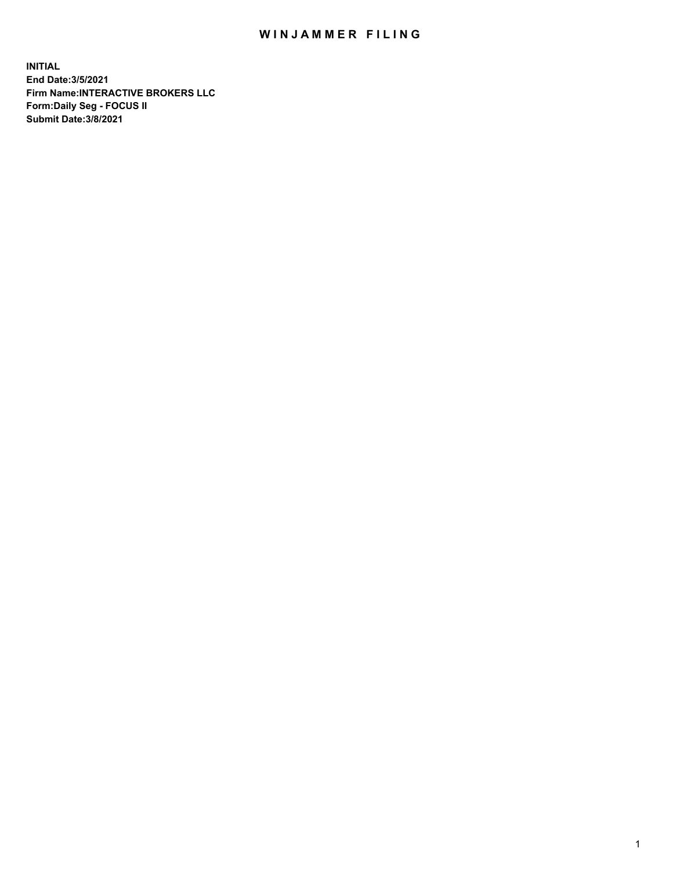## WIN JAMMER FILING

**INITIAL End Date:3/5/2021 Firm Name:INTERACTIVE BROKERS LLC Form:Daily Seg - FOCUS II Submit Date:3/8/2021**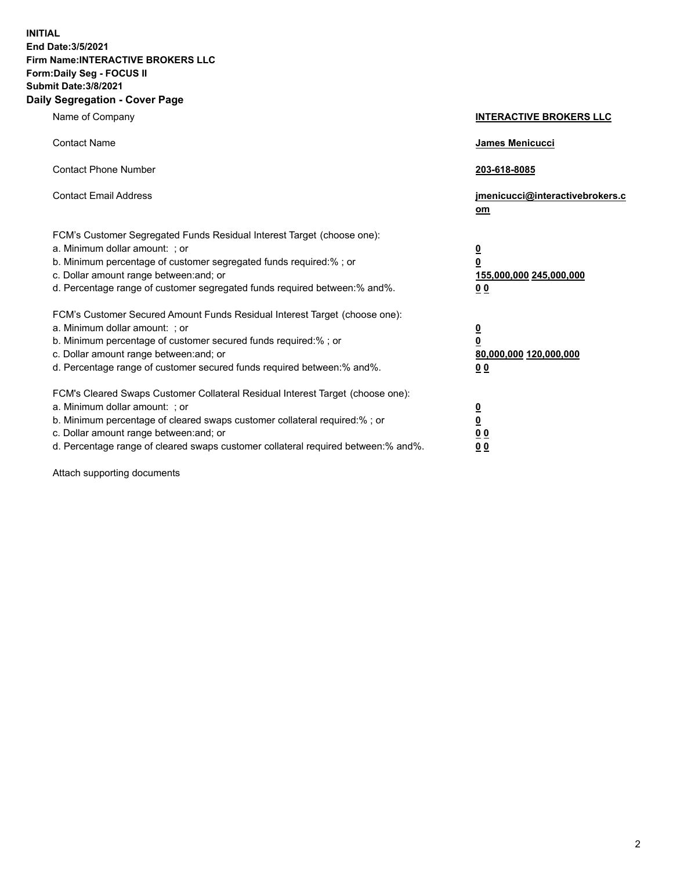**INITIAL End Date:3/5/2021 Firm Name:INTERACTIVE BROKERS LLC Form:Daily Seg - FOCUS II Submit Date:3/8/2021 Daily Segregation - Cover Page**

| Name of Company                                                                                                                                                                                                                                                                                                                | <b>INTERACTIVE BROKERS LLC</b>                                                                 |
|--------------------------------------------------------------------------------------------------------------------------------------------------------------------------------------------------------------------------------------------------------------------------------------------------------------------------------|------------------------------------------------------------------------------------------------|
| <b>Contact Name</b>                                                                                                                                                                                                                                                                                                            | James Menicucci                                                                                |
| <b>Contact Phone Number</b>                                                                                                                                                                                                                                                                                                    | 203-618-8085                                                                                   |
| <b>Contact Email Address</b>                                                                                                                                                                                                                                                                                                   | jmenicucci@interactivebrokers.c<br>om                                                          |
| FCM's Customer Segregated Funds Residual Interest Target (choose one):<br>a. Minimum dollar amount: ; or<br>b. Minimum percentage of customer segregated funds required:% ; or<br>c. Dollar amount range between: and; or<br>d. Percentage range of customer segregated funds required between:% and%.                         | $\overline{\mathbf{0}}$<br>$\overline{\mathbf{0}}$<br>155,000,000 245,000,000<br>00            |
| FCM's Customer Secured Amount Funds Residual Interest Target (choose one):<br>a. Minimum dollar amount: ; or<br>b. Minimum percentage of customer secured funds required:%; or<br>c. Dollar amount range between: and; or<br>d. Percentage range of customer secured funds required between:% and%.                            | $\overline{\mathbf{0}}$<br>$\overline{\mathbf{0}}$<br>80,000,000 120,000,000<br>0 <sub>0</sub> |
| FCM's Cleared Swaps Customer Collateral Residual Interest Target (choose one):<br>a. Minimum dollar amount: ; or<br>b. Minimum percentage of cleared swaps customer collateral required:% ; or<br>c. Dollar amount range between: and; or<br>d. Percentage range of cleared swaps customer collateral required between:% and%. | $\frac{0}{0}$<br>0 <sub>0</sub><br>0 <sub>0</sub>                                              |

Attach supporting documents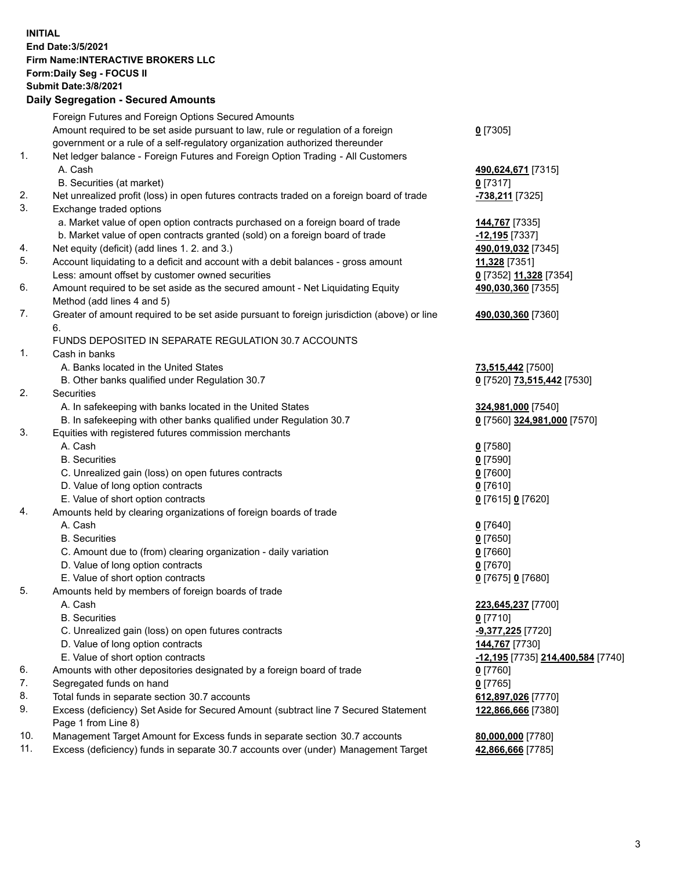## **INITIAL End Date:3/5/2021 Firm Name:INTERACTIVE BROKERS LLC Form:Daily Seg - FOCUS II Submit Date:3/8/2021 Daily Segregation - Secured Amounts**

|     | Dany Ocgregation - Occarea Anioants                                                                        |                                   |
|-----|------------------------------------------------------------------------------------------------------------|-----------------------------------|
|     | Foreign Futures and Foreign Options Secured Amounts                                                        |                                   |
|     | Amount required to be set aside pursuant to law, rule or regulation of a foreign                           | $0$ [7305]                        |
|     | government or a rule of a self-regulatory organization authorized thereunder                               |                                   |
| 1.  | Net ledger balance - Foreign Futures and Foreign Option Trading - All Customers                            |                                   |
|     | A. Cash                                                                                                    | 490,624,671 [7315]                |
|     | B. Securities (at market)                                                                                  | $0$ [7317]                        |
| 2.  | Net unrealized profit (loss) in open futures contracts traded on a foreign board of trade                  | -738,211 [7325]                   |
| 3.  | Exchange traded options                                                                                    |                                   |
|     | a. Market value of open option contracts purchased on a foreign board of trade                             | 144,767 [7335]                    |
|     | b. Market value of open contracts granted (sold) on a foreign board of trade                               | $-12,195$ [7337]                  |
| 4.  | Net equity (deficit) (add lines 1. 2. and 3.)                                                              | 490,019,032 [7345]                |
| 5.  | Account liquidating to a deficit and account with a debit balances - gross amount                          | 11,328 [7351]                     |
|     | Less: amount offset by customer owned securities                                                           | 0 [7352] 11,328 [7354]            |
| 6.  | Amount required to be set aside as the secured amount - Net Liquidating Equity                             | 490,030,360 [7355]                |
|     | Method (add lines 4 and 5)                                                                                 |                                   |
| 7.  | Greater of amount required to be set aside pursuant to foreign jurisdiction (above) or line                | 490,030,360 [7360]                |
|     | 6.                                                                                                         |                                   |
|     | FUNDS DEPOSITED IN SEPARATE REGULATION 30.7 ACCOUNTS                                                       |                                   |
| 1.  | Cash in banks                                                                                              |                                   |
|     | A. Banks located in the United States                                                                      | <b>73,515,442</b> [7500]          |
|     | B. Other banks qualified under Regulation 30.7                                                             | 0 [7520] 73,515,442 [7530]        |
| 2.  | Securities                                                                                                 |                                   |
|     | A. In safekeeping with banks located in the United States                                                  | 324,981,000 [7540]                |
|     | B. In safekeeping with other banks qualified under Regulation 30.7                                         | 0 [7560] 324,981,000 [7570]       |
| 3.  | Equities with registered futures commission merchants                                                      |                                   |
|     | A. Cash                                                                                                    | $0$ [7580]                        |
|     | <b>B.</b> Securities                                                                                       | $0$ [7590]                        |
|     | C. Unrealized gain (loss) on open futures contracts                                                        | $0$ [7600]                        |
|     | D. Value of long option contracts                                                                          | $0$ [7610]                        |
|     | E. Value of short option contracts                                                                         | 0 [7615] 0 [7620]                 |
| 4.  | Amounts held by clearing organizations of foreign boards of trade                                          |                                   |
|     | A. Cash                                                                                                    | $0$ [7640]                        |
|     | <b>B.</b> Securities                                                                                       | $0$ [7650]                        |
|     | C. Amount due to (from) clearing organization - daily variation                                            | $0$ [7660]                        |
|     | D. Value of long option contracts                                                                          | $0$ [7670]                        |
|     | E. Value of short option contracts                                                                         | 0 [7675] 0 [7680]                 |
| 5.  | Amounts held by members of foreign boards of trade                                                         |                                   |
|     | A. Cash                                                                                                    | 223,645,237 [7700]                |
|     | <b>B.</b> Securities                                                                                       | $0$ [7710]                        |
|     | C. Unrealized gain (loss) on open futures contracts                                                        | -9,377,225 [7720]                 |
|     | D. Value of long option contracts                                                                          | 144,767 [7730]                    |
|     | E. Value of short option contracts                                                                         | -12,195 [7735] 214,400,584 [7740] |
| 6.  | Amounts with other depositories designated by a foreign board of trade                                     | 0 [7760]                          |
| 7.  | Segregated funds on hand                                                                                   | $0$ [7765]                        |
| 8.  | Total funds in separate section 30.7 accounts                                                              | 612,897,026 [7770]                |
| 9.  | Excess (deficiency) Set Aside for Secured Amount (subtract line 7 Secured Statement<br>Page 1 from Line 8) | 122,866,666 [7380]                |
| 10. | Management Target Amount for Excess funds in separate section 30.7 accounts                                | 80,000,000 [7780]                 |
| 11. | Excess (deficiency) funds in separate 30.7 accounts over (under) Management Target                         | 42,866,666 [7785]                 |
|     |                                                                                                            |                                   |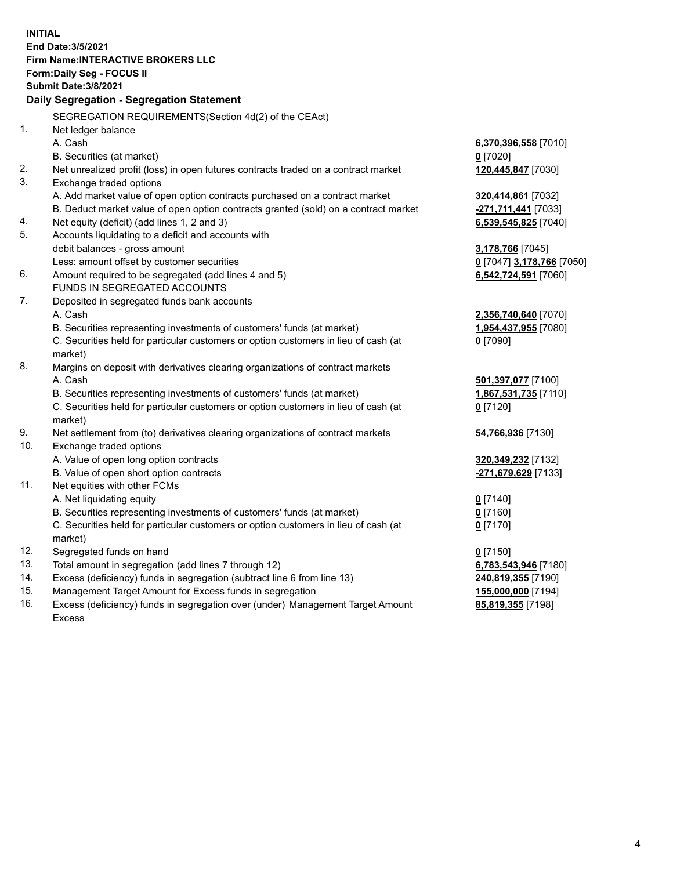**INITIAL End Date:3/5/2021 Firm Name:INTERACTIVE BROKERS LLC Form:Daily Seg - FOCUS II Submit Date:3/8/2021 Daily Segregation - Segregation Statement** SEGREGATION REQUIREMENTS(Section 4d(2) of the CEAct) 1. Net ledger balance A. Cash **6,370,396,558** [7010] B. Securities (at market) **0** [7020] 2. Net unrealized profit (loss) in open futures contracts traded on a contract market **120,445,847** [7030] 3. Exchange traded options A. Add market value of open option contracts purchased on a contract market **320,414,861** [7032] B. Deduct market value of open option contracts granted (sold) on a contract market **-271,711,441** [7033] 4. Net equity (deficit) (add lines 1, 2 and 3) **6,539,545,825** [7040] 5. Accounts liquidating to a deficit and accounts with debit balances - gross amount **3,178,766** [7045] Less: amount offset by customer securities **0** [7047] **3,178,766** [7050] 6. Amount required to be segregated (add lines 4 and 5) **6,542,724,591** [7060] FUNDS IN SEGREGATED ACCOUNTS 7. Deposited in segregated funds bank accounts A. Cash **2,356,740,640** [7070] B. Securities representing investments of customers' funds (at market) **1,954,437,955** [7080] C. Securities held for particular customers or option customers in lieu of cash (at market) **0** [7090] 8. Margins on deposit with derivatives clearing organizations of contract markets A. Cash **501,397,077** [7100] B. Securities representing investments of customers' funds (at market) **1,867,531,735** [7110] C. Securities held for particular customers or option customers in lieu of cash (at market) **0** [7120] 9. Net settlement from (to) derivatives clearing organizations of contract markets **54,766,936** [7130] 10. Exchange traded options A. Value of open long option contracts **320,349,232** [7132] B. Value of open short option contracts **-271,679,629** [7133] 11. Net equities with other FCMs A. Net liquidating equity **0** [7140] B. Securities representing investments of customers' funds (at market) **0** [7160] C. Securities held for particular customers or option customers in lieu of cash (at market) **0** [7170] 12. Segregated funds on hand **0** [7150] 13. Total amount in segregation (add lines 7 through 12) **6,783,543,946** [7180] 14. Excess (deficiency) funds in segregation (subtract line 6 from line 13) **240,819,355** [7190] 15. Management Target Amount for Excess funds in segregation **155,000,000** [7194] 16. Excess (deficiency) funds in segregation over (under) Management Target Amount **85,819,355** [7198]

Excess